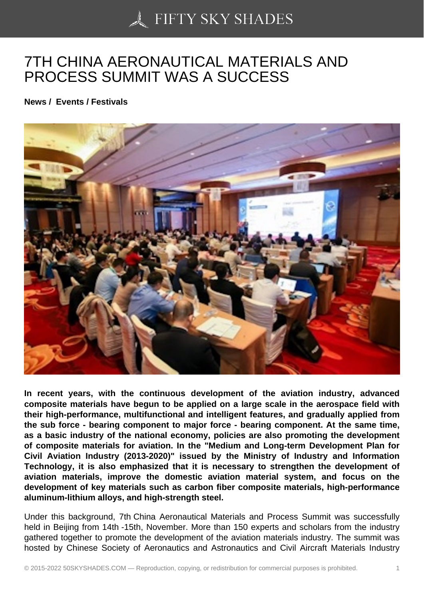## [7TH CHINA AERONAU](https://50skyshades.com)TICAL MATERIALS AND PROCESS SUMMIT WAS A SUCCESS

News / Events / Festivals

In recent years, with the continuous development of the aviation industry, advanced composite materials have begun to be applied on a large scale in the aerospace field with their high-performance, multifunctional and intelligent features, and gradually applied from the sub force - bearing component to major force - bearing component. At the same time, as a basic industry of the national economy, policies are also promoting the development of composite materials for aviation. In the "Medium and Long-term Development Plan for Civil Aviation Industry (2013-2020)" issued by the Ministry of Industry and Information Technology, it is also emphasized that it is necessary to strengthen the development of aviation materials, improve the domestic aviation material system, and focus on the development of key materials such as carbon fiber composite materials, high-performance aluminum-lithium alloys, and high-strength steel.

Under this background, 7th China Aeronautical Materials and Process Summit was successfully held in Beijing from 14th -15th, November. More than 150 experts and scholars from the industry gathered together to promote the development of the aviation materials industry. The summit was hosted by Chinese Society of Aeronautics and Astronautics and Civil Aircraft Materials Industry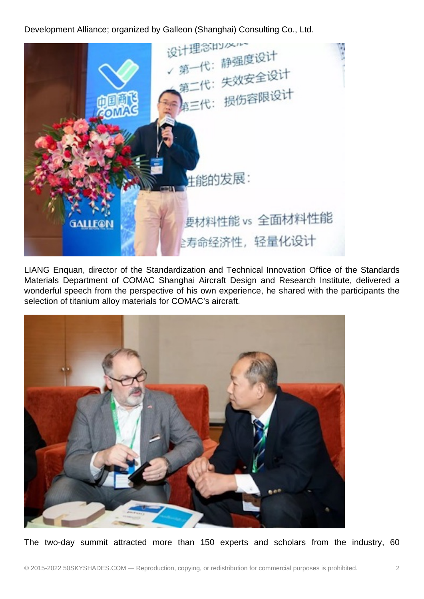Development Alliance; organized by Galleon (Shanghai) Consulting Co., Ltd.



LIANG Enquan, director of the Standardization and Technical Innovation Office of the Standards Materials Department of COMAC Shanghai Aircraft Design and Research Institute, delivered a wonderful speech from the perspective of his own experience, he shared with the participants the selection of titanium alloy materials for COMAC's aircraft.



The two-day summit attracted more than 150 experts and scholars from the industry, 60